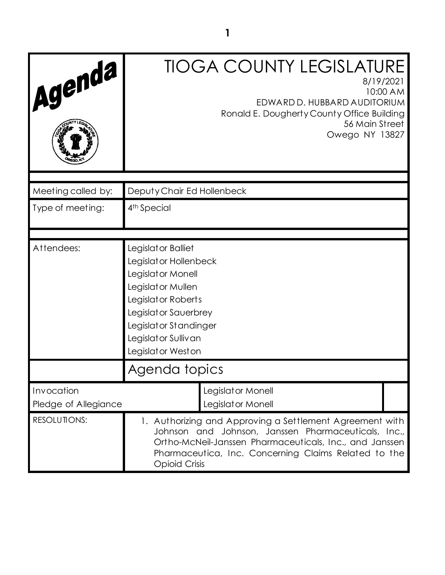| Agenda                             | <b>TIOGA COUNTY LEGISLATURE</b><br>8/19/2021<br>10:00 AM<br>EDWARD D. HUBBARD AUDITORIUM<br>Ronald E. Dougherty County Office Building<br>56 Main Street<br>Owego NY 13827                                                                                 |
|------------------------------------|------------------------------------------------------------------------------------------------------------------------------------------------------------------------------------------------------------------------------------------------------------|
| Meeting called by:                 | Deputy Chair Ed Hollenbeck                                                                                                                                                                                                                                 |
| Type of meeting:                   | 4 <sup>th</sup> Special                                                                                                                                                                                                                                    |
|                                    |                                                                                                                                                                                                                                                            |
| Attendees:                         | Legislator Balliet<br>Legislator Hollenbeck<br>Legislat or Monell<br>Legislat or Mullen<br>Legislator Roberts<br>Legislator Sauerbrey<br>Legislator Standinger<br>Legislator Sullivan<br>Legislator Weston                                                 |
|                                    | Agenda topics                                                                                                                                                                                                                                              |
| Invocation<br>Pledge of Allegiance | Legislator Monell<br>Legislator Monell                                                                                                                                                                                                                     |
| RESOLUTIONS:                       | 1. Authorizing and Approving a Settlement Agreement with<br>Johnson and Johnson, Janssen Pharmaceuticals, Inc.,<br>Ortho-McNeil-Janssen Pharmaceuticals, Inc., and Janssen<br>Pharmaceutica, Inc. Concerning Claims Related to the<br><b>Opioid Crisis</b> |